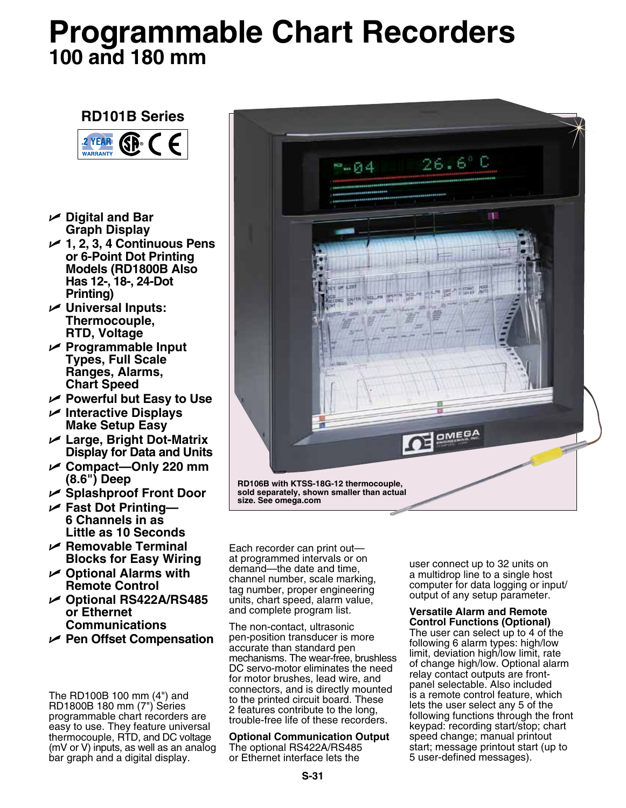# **Programmable Chart Recorders 100 and 180 mm**

# **RD101B Series**



- U **Digital and Bar Graph Display**
- U **1, 2, 3, 4 Continuous Pens or 6-Point Dot Printing Models (RD1800B Also Has 12-, 18-, 24-Dot Printing)**
- U **Universal Inputs: Thermocouple, RTD, Voltage**
- U **Programmable Input Types, Full Scale Ranges, Alarms, Chart Speed**
- U **Powerful but Easy to Use**
- U **Interactive Displays Make Setup Easy**
- U **Large, Bright Dot-Matrix Display for Data and Units**
- U **Compact—Only 220 mm (8.6") Deep**
- U **Splashproof Front Door**
- U **Fast Dot Printing— 6 Channels in as Little as 10 Seconds**
- U **Removable Terminal Blocks for Easy Wiring**
- U **Optional Alarms with Remote Control**
- U **Optional RS422A/RS485 or Ethernet Communications**
- U **Pen Offset Compensation**

The RD100B 100 mm (4") and RD1800B 180 mm (7") Series programmable chart recorders are easy to use. They feature universal thermocouple, RTD, and DC voltage (mV or V) inputs, as well as an analog bar graph and a digital display.



Each recorder can print out at programmed intervals or on demand—the date and time, channel number, scale marking, tag number, proper engineering units, chart speed, alarm value, and complete program list.

The non-contact, ultrasonic pen-position transducer is more accurate than standard pen mechanisms. The wear-free, brushless DC servo-motor eliminates the need for motor brushes, lead wire, and connectors, and is directly mounted to the printed circuit board. These 2 features contribute to the long, trouble-free life of these recorders.

# **Optional Communication Output** The optional RS422A/RS485

or Ethernet interface lets the

user connect up to 32 units on a multidrop line to a single host computer for data logging or input/ output of any setup parameter.

# **Versatile Alarm and Remote Control Functions (Optional)**

The user can select up to 4 of the following 6 alarm types: high/low limit, deviation high/low limit, rate of change high/low. Optional alarm relay contact outputs are frontpanel selectable. Also included is a remote control feature, which lets the user select any 5 of the following functions through the front keypad: recording start/stop; chart speed change; manual printout start; message printout start (up to 5 user-defined messages).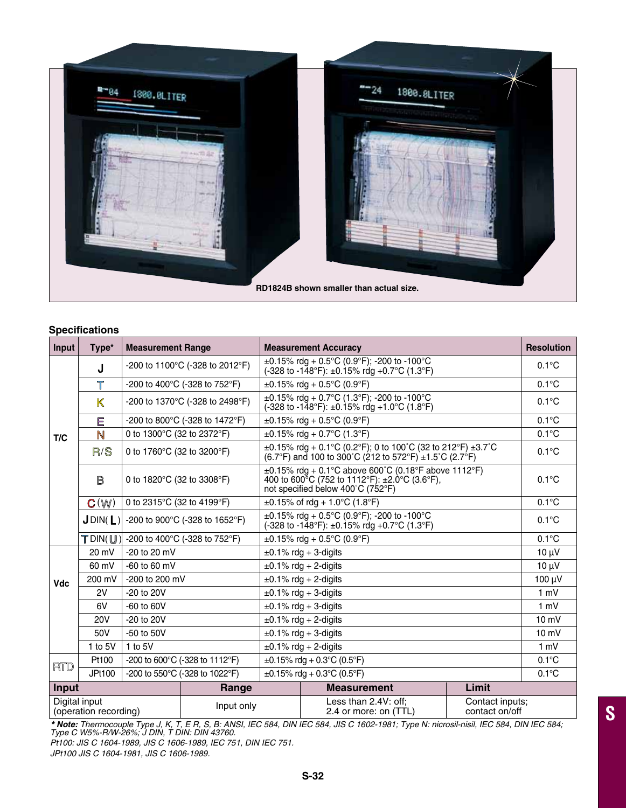

# **Specifications**

| Input                                  | Type*                    | <b>Measurement Range</b>                         |            |                                                                                                                                                  | <b>Measurement Accuracy</b>                   |                                   | <b>Resolution</b> |
|----------------------------------------|--------------------------|--------------------------------------------------|------------|--------------------------------------------------------------------------------------------------------------------------------------------------|-----------------------------------------------|-----------------------------------|-------------------|
| T/C                                    | J                        | -200 to 1100°C (-328 to 2012°F)                  |            | ±0.15% rdg + 0.5°C (0.9°F); -200 to -100°C<br>(-328 to -148°F): $\pm$ 0.15% rdg +0.7°C (1.3°F)                                                   |                                               |                                   | $0.1^{\circ}$ C   |
|                                        | $\mathbb T$              | -200 to 400°C (-328 to 752°F)                    |            | $\pm 0.15\%$ rda + 0.5°C (0.9°F)                                                                                                                 |                                               |                                   | $0.1^{\circ}$ C   |
|                                        | K                        | -200 to 1370°C (-328 to 2498°F)                  |            | $\pm 0.15\%$ rdg + 0.7°C (1.3°F); -200 to -100°C<br>(-328 to -148°F): $\pm$ 0.15% rdg +1.0°C (1.8°F)                                             |                                               |                                   | $0.1^{\circ}$ C   |
|                                        | E                        | -200 to 800°C (-328 to 1472°F)                   |            | $\pm 0.15\%$ rdg + 0.5°C (0.9°F)                                                                                                                 |                                               |                                   | $0.1^{\circ}$ C   |
|                                        | N                        | 0 to 1300°C (32 to 2372°F)                       |            | $\pm 0.15\%$ rdg + 0.7°C (1.3°F)                                                                                                                 |                                               |                                   | $0.1^{\circ}$ C   |
|                                        | R/S                      | 0 to 1760°C (32 to 3200°F)                       |            | ±0.15% rdg + 0.1°C (0.2°F); 0 to 100°C (32 to 212°F) ±3.7°C<br>(6.7°F) and 100 to 300°C (212 to 572°F) ±1.5°C (2.7°F)                            |                                               |                                   | $0.1^{\circ}$ C   |
|                                        | B                        | 0 to 1820 $^{\circ}$ C (32 to 3308 $^{\circ}$ F) |            | $\pm 0.15\%$ rdg + 0.1°C above 600°C (0.18°F above 1112°F)<br>400 to 600°C (752 to 1112°F): ±2.0°C (3.6°F),<br>not specified below 400°C (752°F) |                                               |                                   | $0.1^{\circ}$ C   |
|                                        | $\mathbf{C}(\mathbb{W})$ | 0 to 2315°C (32 to 4199°F)                       |            | $\pm 0.15\%$ of rdg + 1.0°C (1.8°F)                                                                                                              |                                               |                                   | $0.1^{\circ}$ C   |
|                                        | $J$ DIN( $L$ )           | -200 to 900°C (-328 to 1652°F)                   |            | $\pm 0.15\%$ rdg + 0.5°C (0.9°F); -200 to -100°C<br>(-328 to -148°F): ±0.15% rdg +0.7°C (1.3°F)                                                  |                                               |                                   | $0.1^{\circ}$ C   |
|                                        | $T$ DIN( $U$ )           | -200 to 400°C (-328 to 752°F)                    |            | $\pm 0.15\%$ rdg + 0.5°C (0.9°F)                                                                                                                 |                                               |                                   | $0.1^{\circ}$ C   |
|                                        | 20 mV                    | $-20$ to $20$ mV                                 |            | $\pm 0.1\%$ rdg + 3-digits                                                                                                                       |                                               |                                   | $10 \mu V$        |
|                                        | 60 mV                    | $-60$ to 60 mV                                   |            | $\pm 0.1\%$ rdg + 2-digits                                                                                                                       |                                               |                                   | $10 \mu V$        |
| <b>Vdc</b>                             | 200 mV                   | -200 to 200 mV                                   |            | $\pm 0.1\%$ rdg + 2-digits                                                                                                                       |                                               |                                   | 100 µV            |
|                                        | 2V                       | $-20$ to $20V$                                   |            | $\pm 0.1\%$ rdg + 3-digits                                                                                                                       |                                               |                                   | 1 mV              |
|                                        | 6V                       | $-60$ to $60V$                                   |            | $\pm 0.1\%$ rdg + 3-digits                                                                                                                       |                                               |                                   | $1 \text{ mV}$    |
|                                        | <b>20V</b>               | $-20$ to $20V$                                   |            | $\pm 0.1\%$ rdg + 2-digits                                                                                                                       |                                               |                                   | $10 \text{ mV}$   |
|                                        | 50V                      | $-50$ to $50V$                                   |            | $\pm 0.1\%$ rdg + 3-digits                                                                                                                       |                                               |                                   | $10 \text{ mV}$   |
|                                        | 1 to 5V<br>$1$ to $5V$   |                                                  |            | $\pm 0.1\%$ rdg + 2-digits                                                                                                                       |                                               |                                   | 1 mV              |
| <b>RTD</b>                             | Pt100                    | -200 to 600°C (-328 to 1112°F)                   |            | $\pm 0.15\%$ rdg + 0.3°C (0.5°F)                                                                                                                 |                                               |                                   | $0.1^{\circ}$ C   |
|                                        | JPt100                   | -200 to 550°C (-328 to 1022°F)                   |            | $\pm 0.15\%$ rdg + 0.3°C (0.5°F)                                                                                                                 |                                               |                                   | $0.1^{\circ}$ C   |
| Input<br>Range                         |                          |                                                  |            |                                                                                                                                                  | <b>Measurement</b>                            | Limit                             |                   |
| Digital input<br>(operation recording) |                          |                                                  | Input only |                                                                                                                                                  | Less than 2.4V: off:<br>2.4 or more: on (TTL) | Contact inputs:<br>contact on/off |                   |

*\* Note: Thermocouple Type J, K, T, E R, S, B: ANSI, IEC 584, DIN IEC 584, JIS C 1602-1981; Type N: nicrosil-nisil, IEC 584, DIN IEC 584; Type C W5%-R/W-26%; J DIN, T DIN: DIN 43760.*

**S**

*Pt100: JIS C 1604-1989, JIS C 1606-1989, IEC 751, DIN IEC 751. JPt100 JIS C 1604-1981, JIS C 1606-1989.*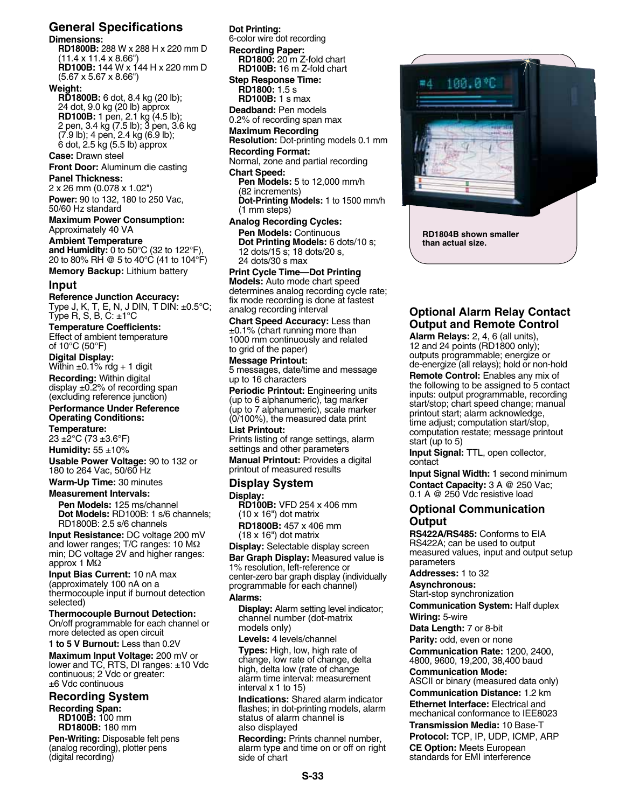# **General Specifications**

## **Dimensions:**

**RD1800B:** 288 W x 288 H x 220 mm D (11.4 x 11.4 x 8.66") **RD100B:** 144 W x 144 H x 220 mm D (5.67 x 5.67 x 8.66")

#### **Weight:**

**RD1800B:** 6 dot, 8.4 kg (20 lb); 24 dot, 9.0 kg (20 lb) approx **RD100B:** 1 pen, 2.1 kg (4.5 lb); 2 pen, 3.4 kg (7.5 lb); 3 pen, 3.6 kg (7.9 lb); 4 pen, 2.4 kg (6.9 lb); 6 dot, 2.5 kg (5.5 lb) approx

# **Case:** Drawn steel

**Front Door:** Aluminum die casting

# **Panel Thickness:**

2 x 26 mm (0.078 x 1.02") **Power:** 90 to 132, 180 to 250 Vac, 50/60 Hz standard

#### **Maximum Power Consumption:** Approximately 40 VA

**Ambient Temperature and Humidity:** 0 to 50°C (32 to 122°F), 20 to 80% RH @ 5 to 40°C (41 to 104°F)

**Memory Backup:** Lithium battery

#### **Input**

**Reference Junction Accuracy:** Type J, K, T, E, N, J DIN, T DIN: ±0.5°C; Type R, S, B, C: ±1°C

#### **Temperature Coefficients:**

Effect of ambient temperature of 10°C (50°F)

**Digital Display:**

Within  $\pm 0.1\%$  rdg + 1 digit **Recording:** Within digital display  $\pm$ 0.2% of recording span (excluding reference junction)

# **Performance Under Reference**

**Operating Conditions: Temperature:**

 $23 \pm 2^{\circ}$ C (73  $\pm 3.6^{\circ}$ F)

**Humidity:** 55 ±10%

**Usable Power Voltage:** 90 to 132 or 180 to 264 Vac, 50/60 Hz

**Warm-Up Time:** 30 minutes

#### **Measurement Intervals:**

**Pen Models:** 125 ms/channel **Dot Models:** RD100B: 1 s/6 channels; RD1800B: 2.5 s/6 channels

**Input Resistance:** DC voltage 200 mV and lower ranges; T/C ranges: 10 MΩ min; DC voltage 2V and higher ranges: approx 1 MΩ

**Input Bias Current:** 10 nA max (approximately 100 nA on a thermocouple input if burnout detection selected)

#### **Thermocouple Burnout Detection:** On/off programmable for each channel or

more detected as open circuit **1 to 5 V Burnout:** Less than 0.2V **Maximum Input Voltage:** 200 mV or lower and TC, RTS, DI ranges: ±10 Vdc

continuous; 2 Vdc or greater: ±6 Vdc continuous

**Recording System Recording Span: RD100B:** 100 mm **RD1800B:** 180 mm

**Pen-Writing:** Disposable felt pens (analog recording), plotter pens (digital recording)

# **Dot Printing:**

6-color wire dot recording

#### **Recording Paper:**

**RD1800:** 20 m Z-fold chart **RD100B:** 16 m Z-fold chart **Step Response Time: RD1800:** 1.5 s

**RD100B:** 1 s max

**Deadband:** Pen models 0.2% of recording span max

## **Maximum Recording**

**Resolution:** Dot-printing models 0.1 mm **Recording Format:**

Normal, zone and partial recording

# **Chart Speed:**

**Pen Models:** 5 to 12,000 mm/h (82 increments) **Dot-Printing Models:** 1 to 1500 mm/h (1 mm steps)

**Analog Recording Cycles: Pen Models: Continuous Dot Printing Models:** 6 dots/10 s; 12 dots/15 s; 18 dots/20 s, 24 dots/30 s max

# **Print Cycle Time—Dot Printing**

**Models:** Auto mode chart speed determines analog recording cycle rate; fix mode recording is done at fastest analog recording interval

**Chart Speed Accuracy:** Less than  $±0.1\%$  (chart running more than 1000 mm continuously and related to grid of the paper)

# **Message Printout:**

5 messages, date/time and message up to 16 characters

**Periodic Printout:** Engineering units (up to 6 alphanumeric), tag marker (up to 7 alphanumeric), scale marker (0/100%), the measured data print

#### **List Printout:**

Prints listing of range settings, alarm settings and other parameters

**Manual Printout:** Provides a digital printout of measured results

## **Display System**

#### **Display:**

**RD100B:** VFD 254 x 406 mm (10 x 16") dot matrix **RD1800B:** 457 x 406 mm

(18 x 16") dot matrix

**Display:** Selectable display screen

**Bar Graph Display:** Measured value is 1% resolution, left-reference or center-zero bar graph display (individually programmable for each channel)

#### **Alarms:**

**Display:** Alarm setting level indicator; channel number (dot-matrix models only)

**Levels:** 4 levels/channel

**Types:** High, low, high rate of change, low rate of change, delta high, delta low (rate of change alarm time interval: measurement interval x 1 to 15)

**Indications:** Shared alarm indicator flashes; in dot-printing models, alarm status of alarm channel is also displayed

**Recording:** Prints channel number, alarm type and time on or off on right side of chart



# **Optional Alarm Relay Contact Output and Remote Control**

**Alarm Relays:** 2, 4, 6 (all units), 12 and 24 points (RD1800 only); outputs programmable; energize or de-energize (all relays); hold or non-hold

**Remote Control:** Enables any mix of the following to be assigned to 5 contact inputs: output programmable, recording start/stop; chart speed change; manual printout start; alarm acknowledge, time adjust; computation start/stop, computation restate; message printout start (up to 5)

**Input Signal:** TTL, open collector, contact

**Input Signal Width:** 1 second minimum **Contact Capacity:** 3 A @ 250 Vac; 0.1 A @ 250 Vdc resistive load

# **Optional Communication Output**

**RS422A/RS485:** Conforms to EIA RS422A; can be used to output measured values, input and output setup parameters

**Addresses:** 1 to 32

**Asynchronous:**

Start-stop synchronization

**Communication System:** Half duplex **Wiring:** 5-wire

**Data Length:** 7 or 8-bit

**Parity:** odd, even or none **Communication Rate:** 1200, 2400, 4800, 9600, 19,200, 38,400 baud

**Communication Mode:** 

ASCII or binary (measured data only) **Communication Distance:** 1.2 km **Ethernet Interface:** Electrical and mechanical conformance to IEE8023

**Transmission Media:** 10 Base-T

**Protocol:** TCP, IP, UDP, ICMP, ARP **CE Option:** Meets European standards for EMI interference